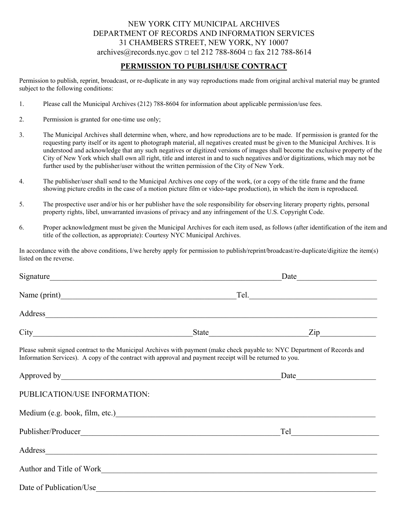## NEW YORK CITY MUNICIPAL ARCHIVES DEPARTMENT OF RECORDS AND INFORMATION SERVICES 31 CHAMBERS STREET, NEW YORK, NY 10007 archives@records.nyc.gov  $\Box$  tel 212 788-8604  $\Box$  fax 212 788-8614

## **PERMISSION TO PUBLISH/USE CONTRACT**

Permission to publish, reprint, broadcast, or re-duplicate in any way reproductions made from original archival material may be granted subject to the following conditions:

- 1. Please call the Municipal Archives (212) 788-8604 for information about applicable permission/use fees.
- 2. Permission is granted for one-time use only;
- 3. The Municipal Archives shall determine when, where, and how reproductions are to be made. If permission is granted for the requesting party itself or its agent to photograph material, all negatives created must be given to the Municipal Archives. It is understood and acknowledge that any such negatives or digitized versions of images shall become the exclusive property of the City of New York which shall own all right, title and interest in and to such negatives and/or digitizations, which may not be further used by the publisher/user without the written permission of the City of New York.
- 4. The publisher/user shall send to the Municipal Archives one copy of the work, (or a copy of the title frame and the frame showing picture credits in the case of a motion picture film or video-tape production), in which the item is reproduced.
- 5. The prospective user and/or his or her publisher have the sole responsibility for observing literary property rights, personal property rights, libel, unwarranted invasions of privacy and any infringement of the U.S. Copyright Code.
- 6. Proper acknowledgment must be given the Municipal Archives for each item used, as follows (after identification of the item and title of the collection, as appropriate): Courtesy NYC Municipal Archives.

In accordance with the above conditions, I/we hereby apply for permission to publish/reprint/broadcast/re-duplicate/digitize the item(s) listed on the reverse.

|                              | Signature                                                                                                                                                                                                                              |                       |  |  |
|------------------------------|----------------------------------------------------------------------------------------------------------------------------------------------------------------------------------------------------------------------------------------|-----------------------|--|--|
|                              |                                                                                                                                                                                                                                        |                       |  |  |
|                              | Address and the contract of the contract of the contract of the contract of the contract of the contract of the contract of the contract of the contract of the contract of the contract of the contract of the contract of th         |                       |  |  |
|                              |                                                                                                                                                                                                                                        | State $\frac{Zip}{p}$ |  |  |
|                              | Please submit signed contract to the Municipal Archives with payment (make check payable to: NYC Department of Records and<br>Information Services). A copy of the contract with approval and payment receipt will be returned to you. |                       |  |  |
|                              |                                                                                                                                                                                                                                        |                       |  |  |
| PUBLICATION/USE INFORMATION: |                                                                                                                                                                                                                                        |                       |  |  |
|                              | Medium (e.g. book, film, etc.)<br><u>Medium (e.g. book, film, etc.</u> )                                                                                                                                                               |                       |  |  |
|                              |                                                                                                                                                                                                                                        |                       |  |  |
|                              | Address and the contract of the contract of the contract of the contract of the contract of the contract of the contract of the contract of the contract of the contract of the contract of the contract of the contract of th         |                       |  |  |
|                              | Author and Title of Work                                                                                                                                                                                                               |                       |  |  |
| Date of Publication/Use      |                                                                                                                                                                                                                                        |                       |  |  |